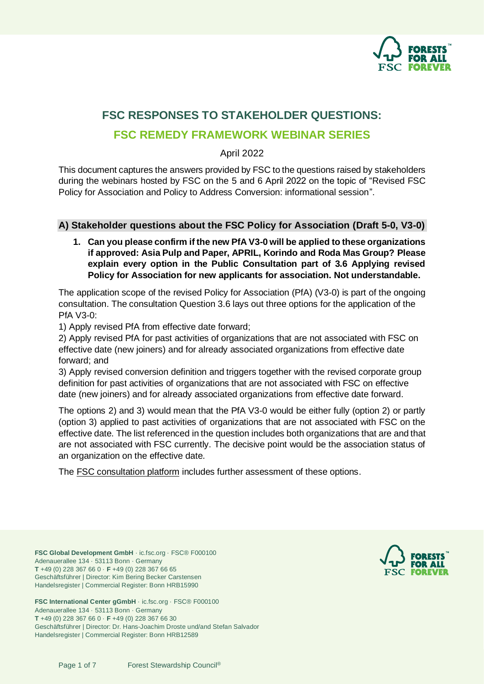

# **FSC RESPONSES TO STAKEHOLDER QUESTIONS:**

# **FSC REMEDY FRAMEWORK WEBINAR SERIES**

April 2022

This document captures the answers provided by FSC to the questions raised by stakeholders during the webinars hosted by FSC on the 5 and 6 April 2022 on the topic of "Revised FSC Policy for Association and Policy to Address Conversion: informational session".

### **A) Stakeholder questions about the FSC Policy for Association (Draft 5-0, V3-0)**

**1. Can you please confirm if the new PfA V3-0 will be applied to these organizations if approved: Asia Pulp and Paper, APRIL, Korindo and Roda Mas Group? Please explain every option in the Public Consultation part of 3.6 Applying revised Policy for Association for new applicants for association. Not understandable.**

The application scope of the revised Policy for Association (PfA) (V3-0) is part of the ongoing consultation. The consultation Question 3.6 lays out three options for the application of the PfA V3-0:

1) Apply revised PfA from effective date forward;

2) Apply revised PfA for past activities of organizations that are not associated with FSC on effective date (new joiners) and for already associated organizations from effective date forward; and

3) Apply revised conversion definition and triggers together with the revised corporate group definition for past activities of organizations that are not associated with FSC on effective date (new joiners) and for already associated organizations from effective date forward.

The options 2) and 3) would mean that the PfA V3-0 would be either fully (option 2) or partly (option 3) applied to past activities of organizations that are not associated with FSC on the effective date. The list referenced in the question includes both organizations that are and that are not associated with FSC currently. The decisive point would be the association status of an organization on the effective date.

The [FSC consultation platform](https://consultation-platform.fsc.org/) includes further assessment of these options.

**FSC Global Development GmbH** · ic.fsc.org · FSC® F000100 Adenauerallee 134 · 53113 Bonn · Germany **T** +49 (0) 228 367 66 0 · **F** +49 (0) 228 367 66 65 Geschäftsführer | Director: Kim Bering Becker Carstensen Handelsregister | Commercial Register: Bonn HRB15990

**FSC International Center gGmbH** · ic.fsc.org · FSC® F000100 Adenauerallee 134 · 53113 Bonn · Germany **T** +49 (0) 228 367 66 0 · **F** +49 (0) 228 367 66 30 Geschäftsführer | Director: Dr. Hans-Joachim Droste und/and Stefan Salvador Handelsregister | Commercial Register: Bonn HRB12589

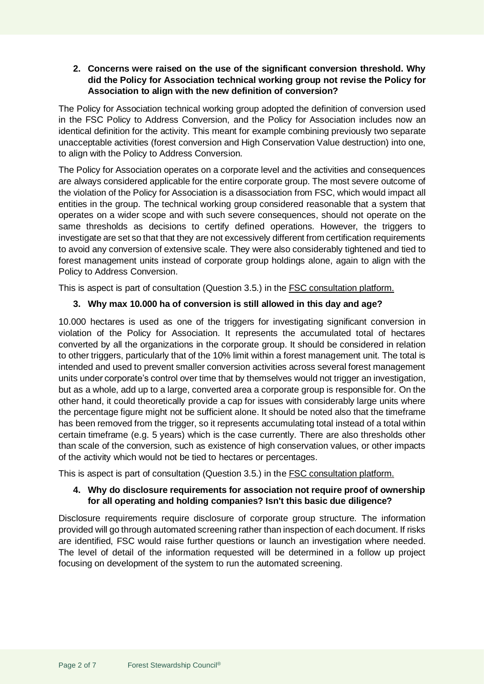### **2. Concerns were raised on the use of the significant conversion threshold. Why did the Policy for Association technical working group not revise the Policy for Association to align with the new definition of conversion?**

The Policy for Association technical working group adopted the definition of conversion used in the FSC Policy to Address Conversion, and the Policy for Association includes now an identical definition for the activity. This meant for example combining previously two separate unacceptable activities (forest conversion and High Conservation Value destruction) into one, to align with the Policy to Address Conversion.

The Policy for Association operates on a corporate level and the activities and consequences are always considered applicable for the entire corporate group. The most severe outcome of the violation of the Policy for Association is a disassociation from FSC, which would impact all entities in the group. The technical working group considered reasonable that a system that operates on a wider scope and with such severe consequences, should not operate on the same thresholds as decisions to certify defined operations. However, the triggers to investigate are set so that that they are not excessively different from certification requirements to avoid any conversion of extensive scale. They were also considerably tightened and tied to forest management units instead of corporate group holdings alone, again to align with the Policy to Address Conversion.

This is aspect is part of consultation (Question 3.5.) in the [FSC consultation platform.](https://consultation-platform.fsc.org/)

# **3. Why max 10.000 ha of conversion is still allowed in this day and age?**

10.000 hectares is used as one of the triggers for investigating significant conversion in violation of the Policy for Association. It represents the accumulated total of hectares converted by all the organizations in the corporate group. It should be considered in relation to other triggers, particularly that of the 10% limit within a forest management unit. The total is intended and used to prevent smaller conversion activities across several forest management units under corporate's control over time that by themselves would not trigger an investigation, but as a whole, add up to a large, converted area a corporate group is responsible for. On the other hand, it could theoretically provide a cap for issues with considerably large units where the percentage figure might not be sufficient alone. It should be noted also that the timeframe has been removed from the trigger, so it represents accumulating total instead of a total within certain timeframe (e.g. 5 years) which is the case currently. There are also thresholds other than scale of the conversion, such as existence of high conservation values, or other impacts of the activity which would not be tied to hectares or percentages.

This is aspect is part of consultation (Question 3.5.) in the [FSC consultation platform.](https://consultation-platform.fsc.org/)

# **4. Why do disclosure requirements for association not require proof of ownership for all operating and holding companies? Isn't this basic due diligence?**

Disclosure requirements require disclosure of corporate group structure. The information provided will go through automated screening rather than inspection of each document. If risks are identified, FSC would raise further questions or launch an investigation where needed. The level of detail of the information requested will be determined in a follow up project focusing on development of the system to run the automated screening.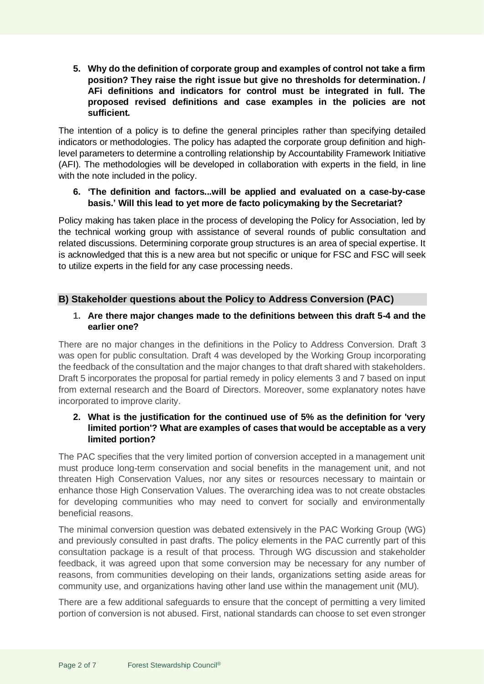**5. Why do the definition of corporate group and examples of control not take a firm position? They raise the right issue but give no thresholds for determination. / AFi definitions and indicators for control must be integrated in full. The proposed revised definitions and case examples in the policies are not sufficient.** 

The intention of a policy is to define the general principles rather than specifying detailed indicators or methodologies. The policy has adapted the corporate group definition and highlevel parameters to determine a controlling relationship by Accountability Framework Initiative (AFI). The methodologies will be developed in collaboration with experts in the field, in line with the note included in the policy.

### **6. 'The definition and factors...will be applied and evaluated on a case-by-case basis.' Will this lead to yet more de facto policymaking by the Secretariat?**

Policy making has taken place in the process of developing the Policy for Association, led by the technical working group with assistance of several rounds of public consultation and related discussions. Determining corporate group structures is an area of special expertise. It is acknowledged that this is a new area but not specific or unique for FSC and FSC will seek to utilize experts in the field for any case processing needs.

# **B) Stakeholder questions about the Policy to Address Conversion (PAC)**

### **1. Are there major changes made to the definitions between this draft 5-4 and the earlier one?**

There are no major changes in the definitions in the Policy to Address Conversion. Draft 3 was open for public consultation. Draft 4 was developed by the Working Group incorporating the feedback of the consultation and the major changes to that draft shared with stakeholders. Draft 5 incorporates the proposal for partial remedy in policy elements 3 and 7 based on input from external research and the Board of Directors. Moreover, some explanatory notes have incorporated to improve clarity.

### **2. What is the justification for the continued use of 5% as the definition for 'very limited portion'? What are examples of cases that would be acceptable as a very limited portion?**

The PAC specifies that the very limited portion of conversion accepted in a management unit must produce long-term conservation and social benefits in the management unit, and not threaten High Conservation Values, nor any sites or resources necessary to maintain or enhance those High Conservation Values. The overarching idea was to not create obstacles for developing communities who may need to convert for socially and environmentally beneficial reasons.

The minimal conversion question was debated extensively in the PAC Working Group (WG) and previously consulted in past drafts. The policy elements in the PAC currently part of this consultation package is a result of that process. Through WG discussion and stakeholder feedback, it was agreed upon that some conversion may be necessary for any number of reasons, from communities developing on their lands, organizations setting aside areas for community use, and organizations having other land use within the management unit (MU).

There are a few additional safeguards to ensure that the concept of permitting a very limited portion of conversion is not abused. First, national standards can choose to set even stronger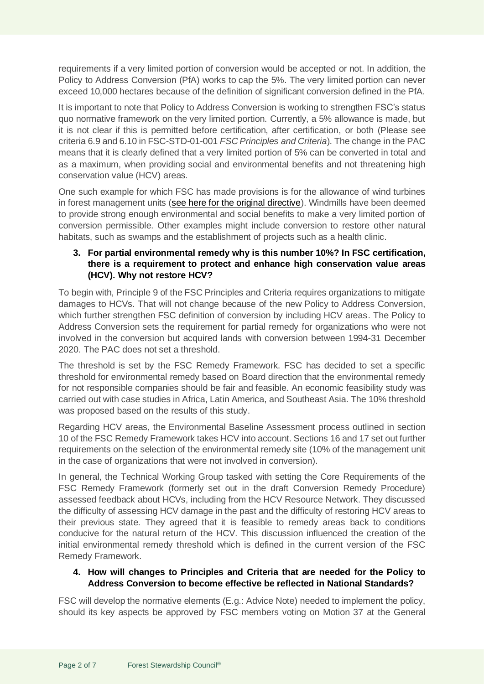requirements if a very limited portion of conversion would be accepted or not. In addition, the Policy to Address Conversion (PfA) works to cap the 5%. The very limited portion can never exceed 10,000 hectares because of the definition of significant conversion defined in the PfA.

It is important to note that Policy to Address Conversion is working to strengthen FSC's status quo normative framework on the very limited portion. Currently, a 5% allowance is made, but it is not clear if this is permitted before certification, after certification, or both (Please see criteria 6.9 and 6.10 in FSC-STD-01-001 *FSC Principles and Criteria*). The change in the PAC means that it is clearly defined that a very limited portion of 5% can be converted in total and as a maximum, when providing social and environmental benefits and not threatening high conservation value (HCV) areas.

One such example for which FSC has made provisions is for the allowance of wind turbines in forest management units [\(see here for the original directive\)](https://fsc.org/en/document-centre/documents/resource/394). Windmills have been deemed to provide strong enough environmental and social benefits to make a very limited portion of conversion permissible. Other examples might include conversion to restore other natural habitats, such as swamps and the establishment of projects such as a health clinic.

# **3. For partial environmental remedy why is this number 10%? In FSC certification, there is a requirement to protect and enhance high conservation value areas (HCV). Why not restore HCV?**

To begin with, Principle 9 of the FSC Principles and Criteria requires organizations to mitigate damages to HCVs. That will not change because of the new Policy to Address Conversion, which further strengthen FSC definition of conversion by including HCV areas. The Policy to Address Conversion sets the requirement for partial remedy for organizations who were not involved in the conversion but acquired lands with conversion between 1994-31 December 2020. The PAC does not set a threshold.

The threshold is set by the FSC Remedy Framework. FSC has decided to set a specific threshold for environmental remedy based on Board direction that the environmental remedy for not responsible companies should be fair and feasible. An economic feasibility study was carried out with case studies in Africa, Latin America, and Southeast Asia. The 10% threshold was proposed based on the results of this study.

Regarding HCV areas, the Environmental Baseline Assessment process outlined in section 10 of the FSC Remedy Framework takes HCV into account. Sections 16 and 17 set out further requirements on the selection of the environmental remedy site (10% of the management unit in the case of organizations that were not involved in conversion).

In general, the Technical Working Group tasked with setting the Core Requirements of the FSC Remedy Framework (formerly set out in the draft Conversion Remedy Procedure) assessed feedback about HCVs, including from the HCV Resource Network. They discussed the difficulty of assessing HCV damage in the past and the difficulty of restoring HCV areas to their previous state. They agreed that it is feasible to remedy areas back to conditions conducive for the natural return of the HCV. This discussion influenced the creation of the initial environmental remedy threshold which is defined in the current version of the FSC Remedy Framework.

# **4. How will changes to Principles and Criteria that are needed for the Policy to Address Conversion to become effective be reflected in National Standards?**

FSC will develop the normative elements (E.g.: Advice Note) needed to implement the policy, should its key aspects be approved by FSC members voting on Motion 37 at the General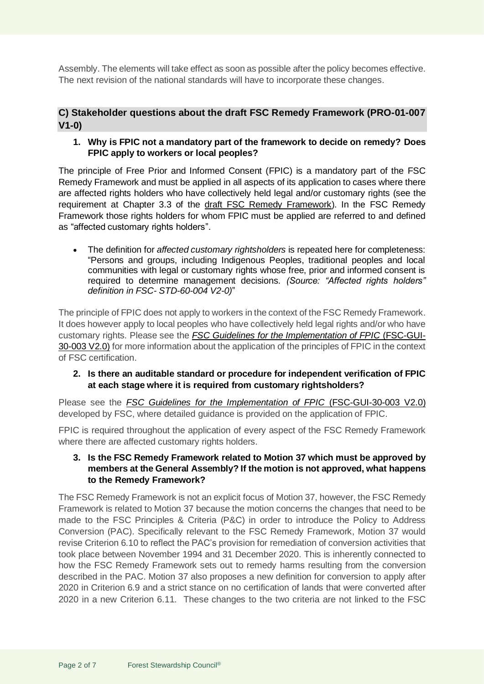Assembly. The elements will take effect as soon as possible after the policy becomes effective. The next revision of the national standards will have to incorporate these changes.

# **C) Stakeholder questions about the draft FSC Remedy Framework (PRO-01-007 V1-0)**

**1. Why is FPIC not a mandatory part of the framework to decide on remedy? Does FPIC apply to workers or local peoples?**

The principle of Free Prior and Informed Consent (FPIC) is a mandatory part of the FSC Remedy Framework and must be applied in all aspects of its application to cases where there are affected rights holders who have collectively held legal and/or customary rights (see the requirement at Chapter 3.3 of the [draft FSC Remedy Framework\)](https://fsc.org/sites/default/files/2022-03/FSC%20Remedy%20Framework_FSC-PRO-01-007_V1-0_0.pdf). In the FSC Remedy Framework those rights holders for whom FPIC must be applied are referred to and defined as "affected customary rights holders".

• The definition for *affected customary rightsholders* is repeated here for completeness: "Persons and groups, including Indigenous Peoples, traditional peoples and local communities with legal or customary rights whose free, prior and informed consent is required to determine management decisions. *(Source: "Affected rights holders" definition in FSC- STD-60-004 V2-0)*"

The principle of FPIC does not apply to workers in the context of the FSC Remedy Framework. It does however apply to local peoples who have collectively held legal rights and/or who have customary rights. Please see the *FSC [Guidelines for the Implementation of FPIC](https://fsc.org/en/document-centre/documents/resource/332)* (FSC-GUI-[30-003 V2.0\)](https://fsc.org/en/document-centre/documents/resource/332) for more information about the application of the principles of FPIC in the context of FSC certification.

**2. Is there an auditable standard or procedure for independent verification of FPIC at each stage where it is required from customary rightsholders?**

Please see the *[FSC Guidelines for the Implementation of FPIC](https://fsc.org/en/document-centre/documents/resource/332)* (FSC-GUI-30-003 V2.0) developed by FSC, where detailed guidance is provided on the application of FPIC.

FPIC is required throughout the application of every aspect of the FSC Remedy Framework where there are affected customary rights holders.

### **3. Is the FSC Remedy Framework related to Motion 37 which must be approved by members at the General Assembly? If the motion is not approved, what happens to the Remedy Framework?**

The FSC Remedy Framework is not an explicit focus of Motion 37, however, the FSC Remedy Framework is related to Motion 37 because the motion concerns the changes that need to be made to the FSC Principles & Criteria (P&C) in order to introduce the Policy to Address Conversion (PAC). Specifically relevant to the FSC Remedy Framework, Motion 37 would revise Criterion 6.10 to reflect the PAC's provision for remediation of conversion activities that took place between November 1994 and 31 December 2020. This is inherently connected to how the FSC Remedy Framework sets out to remedy harms resulting from the conversion described in the PAC. Motion 37 also proposes a new definition for conversion to apply after 2020 in Criterion 6.9 and a strict stance on no certification of lands that were converted after 2020 in a new Criterion 6.11. These changes to the two criteria are not linked to the FSC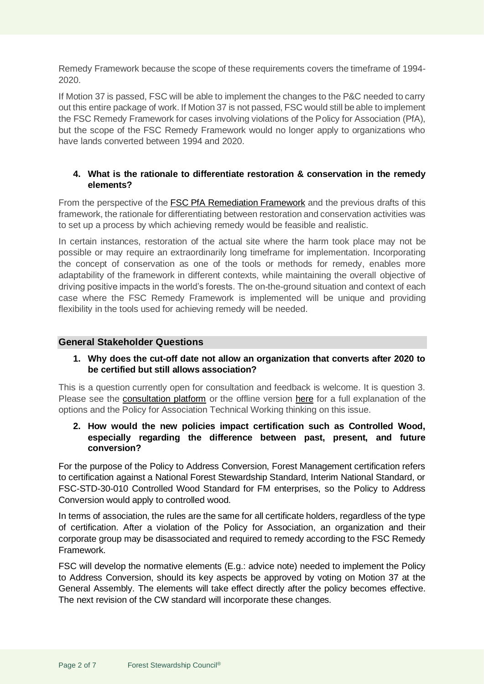Remedy Framework because the scope of these requirements covers the timeframe of 1994- 2020.

If Motion 37 is passed, FSC will be able to implement the changes to the P&C needed to carry out this entire package of work. If Motion 37 is not passed, FSC would still be able to implement the FSC Remedy Framework for cases involving violations of the Policy for Association (PfA), but the scope of the FSC Remedy Framework would no longer apply to organizations who have lands converted between 1994 and 2020.

### **4. What is the rationale to differentiate restoration & conservation in the remedy elements?**

From the perspective of the [FSC PfA Remediation Framework](https://fsc.org/en/current-processes/policy-for-association-remediation-framework) and the previous drafts of this framework, the rationale for differentiating between restoration and conservation activities was to set up a process by which achieving remedy would be feasible and realistic.

In certain instances, restoration of the actual site where the harm took place may not be possible or may require an extraordinarily long timeframe for implementation. Incorporating the concept of conservation as one of the tools or methods for remedy, enables more adaptability of the framework in different contexts, while maintaining the overall objective of driving positive impacts in the world's forests. The on-the-ground situation and context of each case where the FSC Remedy Framework is implemented will be unique and providing flexibility in the tools used for achieving remedy will be needed.

### **General Stakeholder Questions**

#### **1. Why does the cut-off date not allow an organization that converts after 2020 to be certified but still allows association?**

This is a question currently open for consultation and feedback is welcome. It is question 3. Please see the [consultation platform](https://consultation-platform.fsc.org/) or the offline version [here](https://fsc.org/sites/default/files/2022-03/FSC%20Remedy%20Framework%20Consultation%20Materials%20Summary_0.pdf) for a full explanation of the options and the Policy for Association Technical Working thinking on this issue.

#### **2. How would the new policies impact certification such as Controlled Wood, especially regarding the difference between past, present, and future conversion?**

For the purpose of the Policy to Address Conversion, Forest Management certification refers to certification against a National Forest Stewardship Standard, Interim National Standard, or FSC-STD-30-010 Controlled Wood Standard for FM enterprises, so the Policy to Address Conversion would apply to controlled wood.

In terms of association, the rules are the same for all certificate holders, regardless of the type of certification. After a violation of the Policy for Association, an organization and their corporate group may be disassociated and required to remedy according to the FSC Remedy Framework.

FSC will develop the normative elements (E.g.: advice note) needed to implement the Policy to Address Conversion, should its key aspects be approved by voting on Motion 37 at the General Assembly. The elements will take effect directly after the policy becomes effective. The next revision of the CW standard will incorporate these changes.